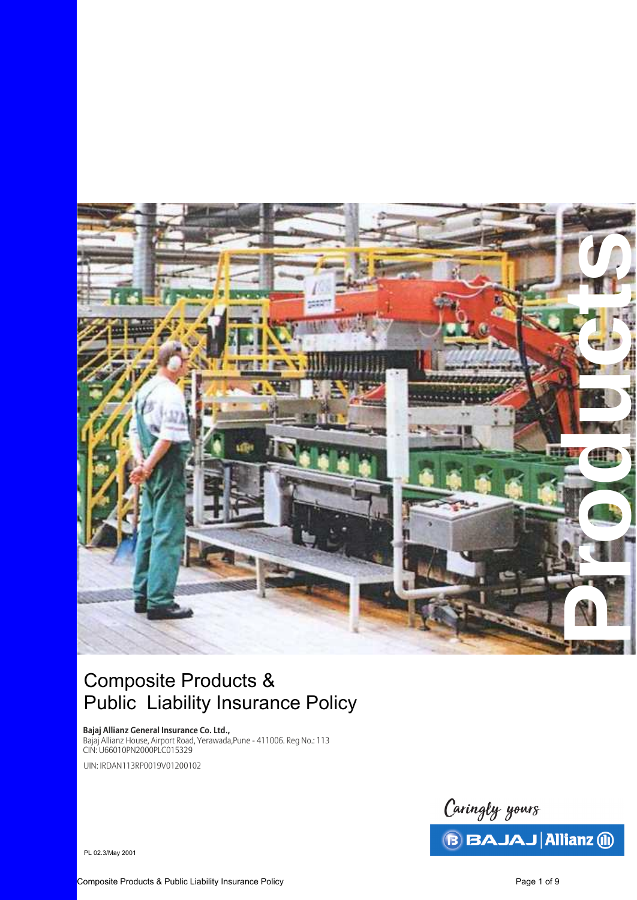

# Composite Products & Public Liability Insurance Policy

**Bajaj Allianz General Insurance Co. Ltd.,** 

Bajaj Allianz House, Airport Road, Yerawada,Pune - 411006. Reg No.: 113 CIN: U66010PN2000PLC015329 UIN: IRDAN113RP0019V01200102

> Caringly yours **BAJAJ Allianz 1**

PL 02.3/May 2001

Composite Products & Public Liability Insurance Policy **Page 1 of 9** Composite Products A Page 1 of 9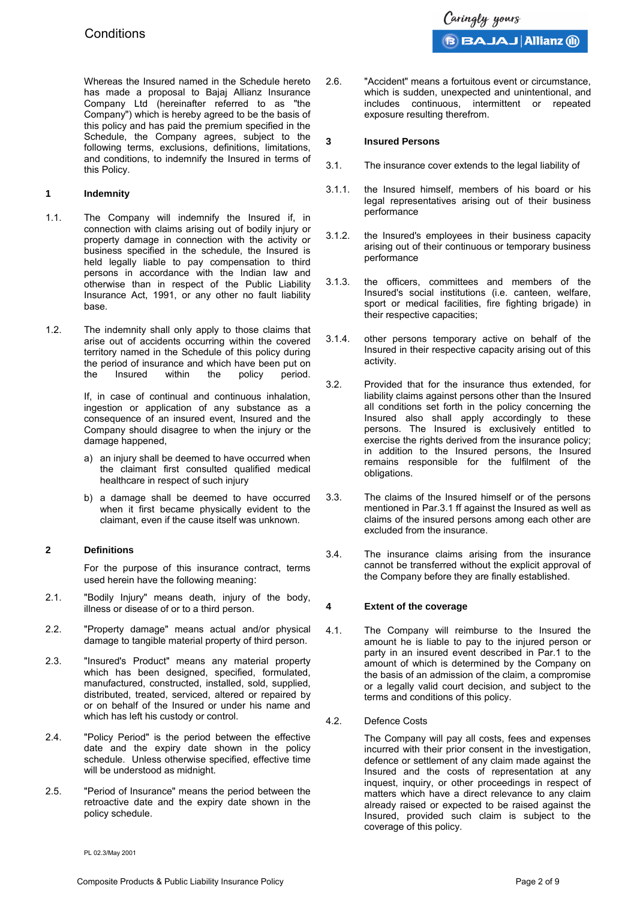Whereas the Insured named in the Schedule hereto has made a proposal to Bajaj Allianz Insurance Company Ltd (hereinafter referred to as "the Company") which is hereby agreed to be the basis of this policy and has paid the premium specified in the Schedule, the Company agrees, subject to the following terms, exclusions, definitions, limitations, and conditions, to indemnify the Insured in terms of this Policy.

## **1 Indemnity**

- 1.1. The Company will indemnify the Insured if, in connection with claims arising out of bodily injury or property damage in connection with the activity or business specified in the schedule, the Insured is held legally liable to pay compensation to third persons in accordance with the Indian law and otherwise than in respect of the Public Liability Insurance Act, 1991, or any other no fault liability base.
- 1.2. The indemnity shall only apply to those claims that arise out of accidents occurring within the covered territory named in the Schedule of this policy during the period of insurance and which have been put on the Insured within the policy period.

If, in case of continual and continuous inhalation, ingestion or application of any substance as a consequence of an insured event, Insured and the Company should disagree to when the injury or the damage happened,

- a) an injury shall be deemed to have occurred when the claimant first consulted qualified medical healthcare in respect of such injury
- b) a damage shall be deemed to have occurred when it first became physically evident to the claimant, even if the cause itself was unknown.

# **2 Definitions**

For the purpose of this insurance contract, terms used herein have the following meaning:

- 2.1. "Bodily Injury" means death, injury of the body, illness or disease of or to a third person.
- 2.2. "Property damage" means actual and/or physical damage to tangible material property of third person.
- 2.3. "Insured's Product" means any material property which has been designed, specified, formulated, manufactured, constructed, installed, sold, supplied, distributed, treated, serviced, altered or repaired by or on behalf of the Insured or under his name and which has left his custody or control.
- 2.4. "Policy Period" is the period between the effective date and the expiry date shown in the policy schedule. Unless otherwise specified, effective time will be understood as midnight.
- 2.5. "Period of Insurance" means the period between the retroactive date and the expiry date shown in the policy schedule.

2.6. "Accident" means a fortuitous event or circumstance, which is sudden, unexpected and unintentional, and includes continuous, intermittent or repeated exposure resulting therefrom.

## **3 Insured Persons**

- 3.1. The insurance cover extends to the legal liability of
- 3.1.1. the Insured himself, members of his board or his legal representatives arising out of their business performance
- 3.1.2. the Insured's employees in their business capacity arising out of their continuous or temporary business performance
- 3.1.3. the officers, committees and members of the Insured's social institutions (i.e. canteen, welfare, sport or medical facilities, fire fighting brigade) in their respective capacities;
- 3.1.4. other persons temporary active on behalf of the Insured in their respective capacity arising out of this activity.
- 3.2. Provided that for the insurance thus extended, for liability claims against persons other than the Insured all conditions set forth in the policy concerning the Insured also shall apply accordingly to these persons. The Insured is exclusively entitled to exercise the rights derived from the insurance policy; in addition to the Insured persons, the Insured remains responsible for the fulfilment of the obligations.
- 3.3. The claims of the Insured himself or of the persons mentioned in Par.3.1 ff against the Insured as well as claims of the insured persons among each other are excluded from the insurance.
- 3.4. The insurance claims arising from the insurance cannot be transferred without the explicit approval of the Company before they are finally established.

# **4 Extent of the coverage**

- 4.1. The Company will reimburse to the Insured the amount he is liable to pay to the injured person or party in an insured event described in Par.1 to the amount of which is determined by the Company on the basis of an admission of the claim, a compromise or a legally valid court decision, and subject to the terms and conditions of this policy.
- 4.2. Defence Costs

The Company will pay all costs, fees and expenses incurred with their prior consent in the investigation, defence or settlement of any claim made against the Insured and the costs of representation at any inquest, inquiry, or other proceedings in respect of matters which have a direct relevance to any claim already raised or expected to be raised against the Insured, provided such claim is subject to the coverage of this policy.

PL 02.3/May 2001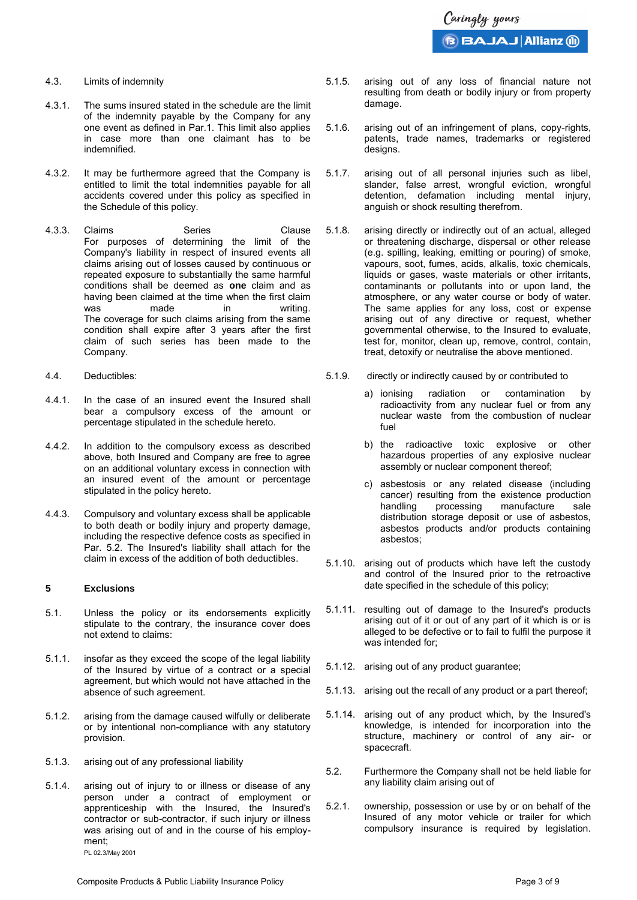- 4.3. Limits of indemnity
- 4.3.1. The sums insured stated in the schedule are the limit of the indemnity payable by the Company for any one event as defined in Par.1. This limit also applies in case more than one claimant has to be indemnified.
- 4.3.2. It may be furthermore agreed that the Company is entitled to limit the total indemnities payable for all accidents covered under this policy as specified in the Schedule of this policy.
- 4.3.3. Claims Series Clause For purposes of determining the limit of the Company's liability in respect of insured events all claims arising out of losses caused by continuous or repeated exposure to substantially the same harmful conditions shall be deemed as **one** claim and as having been claimed at the time when the first claim<br>was made in writing. was made in writing. The coverage for such claims arising from the same condition shall expire after 3 years after the first claim of such series has been made to the Company.
- 4.4. Deductibles:
- 4.4.1. In the case of an insured event the Insured shall bear a compulsory excess of the amount or percentage stipulated in the schedule hereto.
- 4.4.2. In addition to the compulsory excess as described above, both Insured and Company are free to agree on an additional voluntary excess in connection with an insured event of the amount or percentage stipulated in the policy hereto.
- 4.4.3. Compulsory and voluntary excess shall be applicable to both death or bodily injury and property damage, including the respective defence costs as specified in Par. 5.2. The Insured's liability shall attach for the claim in excess of the addition of both deductibles.

#### **5 Exclusions**

- 5.1. Unless the policy or its endorsements explicitly stipulate to the contrary, the insurance cover does not extend to claims:
- 5.1.1. insofar as they exceed the scope of the legal liability of the Insured by virtue of a contract or a special agreement, but which would not have attached in the absence of such agreement.
- 5.1.2. arising from the damage caused wilfully or deliberate or by intentional non-compliance with any statutory provision.
- 5.1.3. arising out of any professional liability
- 5.1.4. arising out of injury to or illness or disease of any person under a contract of employment or apprenticeship with the Insured, the Insured's contractor or sub-contractor, if such injury or illness was arising out of and in the course of his employment;

PL 02.3/May 2001

- 5.1.5. arising out of any loss of financial nature not resulting from death or bodily injury or from property damage.
- 5.1.6. arising out of an infringement of plans, copy-rights, patents, trade names, trademarks or registered designs.
- 5.1.7. arising out of all personal injuries such as libel, slander, false arrest, wrongful eviction, wrongful detention, defamation including mental injury, anguish or shock resulting therefrom.
- 5.1.8. arising directly or indirectly out of an actual, alleged or threatening discharge, dispersal or other release (e.g. spilling, leaking, emitting or pouring) of smoke, vapours, soot, fumes, acids, alkalis, toxic chemicals, liquids or gases, waste materials or other irritants, contaminants or pollutants into or upon land, the atmosphere, or any water course or body of water. The same applies for any loss, cost or expense arising out of any directive or request, whether governmental otherwise, to the Insured to evaluate, test for, monitor, clean up, remove, control, contain, treat, detoxify or neutralise the above mentioned.
- 5.1.9. directly or indirectly caused by or contributed to
	- a) ionising radiation or contamination by radioactivity from any nuclear fuel or from any nuclear waste from the combustion of nuclear fuel
	- b) the radioactive toxic explosive or other hazardous properties of any explosive nuclear assembly or nuclear component thereof;
	- c) asbestosis or any related disease (including cancer) resulting from the existence production handling processing manufacture sale distribution storage deposit or use of asbestos, asbestos products and/or products containing asbestos;
- 5.1.10. arising out of products which have left the custody and control of the Insured prior to the retroactive date specified in the schedule of this policy;
- 5.1.11. resulting out of damage to the Insured's products arising out of it or out of any part of it which is or is alleged to be defective or to fail to fulfil the purpose it was intended for;
- 5.1.12. arising out of any product guarantee;
- 5.1.13. arising out the recall of any product or a part thereof;
- 5.1.14. arising out of any product which, by the Insured's knowledge, is intended for incorporation into the structure, machinery or control of any air- or spacecraft.
- 5.2. Furthermore the Company shall not be held liable for any liability claim arising out of
- 5.2.1. ownership, possession or use by or on behalf of the Insured of any motor vehicle or trailer for which compulsory insurance is required by legislation.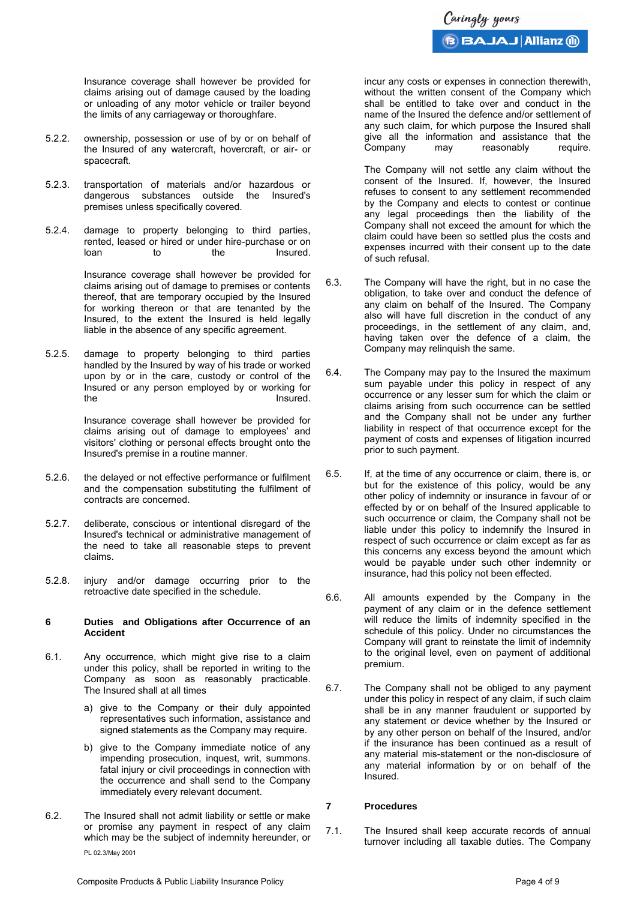Insurance coverage shall however be provided for claims arising out of damage caused by the loading or unloading of any motor vehicle or trailer beyond the limits of any carriageway or thoroughfare.

- 5.2.2. ownership, possession or use of by or on behalf of the Insured of any watercraft, hovercraft, or air- or spacecraft.
- 5.2.3. transportation of materials and/or hazardous or dangerous substances outside the Insured's premises unless specifically covered.
- 5.2.4. damage to property belonging to third parties, rented, leased or hired or under hire-purchase or on<br>loan bo to the lnsured. loan to the Insured.

Insurance coverage shall however be provided for claims arising out of damage to premises or contents thereof, that are temporary occupied by the Insured for working thereon or that are tenanted by the Insured, to the extent the Insured is held legally liable in the absence of any specific agreement.

5.2.5. damage to property belonging to third parties handled by the Insured by way of his trade or worked upon by or in the care, custody or control of the Insured or any person employed by or working for the Insured.

> Insurance coverage shall however be provided for claims arising out of damage to employees' and visitors' clothing or personal effects brought onto the Insured's premise in a routine manner.

- 5.2.6. the delayed or not effective performance or fulfilment and the compensation substituting the fulfilment of contracts are concerned.
- 5.2.7. deliberate, conscious or intentional disregard of the Insured's technical or administrative management of the need to take all reasonable steps to prevent claims.
- 5.2.8. injury and/or damage occurring prior to the retroactive date specified in the schedule.

#### **6 Duties and Obligations after Occurrence of an Accident**

- 6.1. Any occurrence, which might give rise to a claim under this policy, shall be reported in writing to the Company as soon as reasonably practicable. The Insured shall at all times
	- a) give to the Company or their duly appointed representatives such information, assistance and signed statements as the Company may require.
	- b) give to the Company immediate notice of any impending prosecution, inquest, writ, summons. fatal injury or civil proceedings in connection with the occurrence and shall send to the Company immediately every relevant document.
- 6.2. The Insured shall not admit liability or settle or make or promise any payment in respect of any claim which may be the subject of indemnity hereunder, or

PL 02.3/May 2001

Caringly yours **GAJAJ Allianz (ii)** 

incur any costs or expenses in connection therewith, without the written consent of the Company which shall be entitled to take over and conduct in the name of the Insured the defence and/or settlement of any such claim, for which purpose the Insured shall give all the information and assistance that the Company may reasonably require.

The Company will not settle any claim without the consent of the Insured. If, however, the Insured refuses to consent to any settlement recommended by the Company and elects to contest or continue any legal proceedings then the liability of the Company shall not exceed the amount for which the claim could have been so settled plus the costs and expenses incurred with their consent up to the date of such refusal.

- 6.3. The Company will have the right, but in no case the obligation, to take over and conduct the defence of any claim on behalf of the Insured. The Company also will have full discretion in the conduct of any proceedings, in the settlement of any claim, and, having taken over the defence of a claim, the Company may relinquish the same.
- 6.4. The Company may pay to the Insured the maximum sum payable under this policy in respect of any occurrence or any lesser sum for which the claim or claims arising from such occurrence can be settled and the Company shall not be under any further liability in respect of that occurrence except for the payment of costs and expenses of litigation incurred prior to such payment.
- 6.5. If, at the time of any occurrence or claim, there is, or but for the existence of this policy, would be any other policy of indemnity or insurance in favour of or effected by or on behalf of the Insured applicable to such occurrence or claim, the Company shall not be liable under this policy to indemnify the Insured in respect of such occurrence or claim except as far as this concerns any excess beyond the amount which would be payable under such other indemnity or insurance, had this policy not been effected.
- 6.6. All amounts expended by the Company in the payment of any claim or in the defence settlement will reduce the limits of indemnity specified in the schedule of this policy. Under no circumstances the Company will grant to reinstate the limit of indemnity to the original level, even on payment of additional premium.
- 6.7. The Company shall not be obliged to any payment under this policy in respect of any claim, if such claim shall be in any manner fraudulent or supported by any statement or device whether by the Insured or by any other person on behalf of the Insured, and/or if the insurance has been continued as a result of any material mis-statement or the non-disclosure of any material information by or on behalf of the Insured.

#### **7 Procedures**

7.1. The Insured shall keep accurate records of annual turnover including all taxable duties. The Company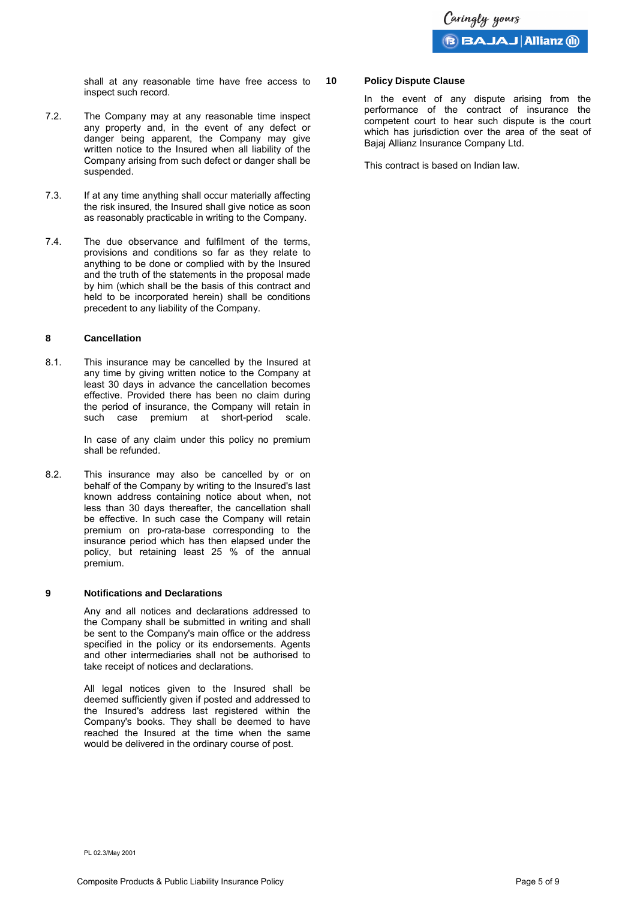shall at any reasonable time have free access to inspect such record.

- 7.2. The Company may at any reasonable time inspect any property and, in the event of any defect or danger being apparent, the Company may give written notice to the Insured when all liability of the Company arising from such defect or danger shall be suspended.
- 7.3. If at any time anything shall occur materially affecting the risk insured, the Insured shall give notice as soon as reasonably practicable in writing to the Company.
- 7.4. The due observance and fulfilment of the terms, provisions and conditions so far as they relate to anything to be done or complied with by the Insured and the truth of the statements in the proposal made by him (which shall be the basis of this contract and held to be incorporated herein) shall be conditions precedent to any liability of the Company.

#### **8 Cancellation**

8.1. This insurance may be cancelled by the Insured at any time by giving written notice to the Company at least 30 days in advance the cancellation becomes effective. Provided there has been no claim during the period of insurance, the Company will retain in such case premium at short-period scale.

> In case of any claim under this policy no premium shall be refunded.

8.2. This insurance may also be cancelled by or on behalf of the Company by writing to the Insured's last known address containing notice about when, not less than 30 days thereafter, the cancellation shall be effective. In such case the Company will retain premium on pro-rata-base corresponding to the insurance period which has then elapsed under the policy, but retaining least 25 % of the annual premium.

#### **9 Notifications and Declarations**

Any and all notices and declarations addressed to the Company shall be submitted in writing and shall be sent to the Company's main office or the address specified in the policy or its endorsements. Agents and other intermediaries shall not be authorised to take receipt of notices and declarations.

All legal notices given to the Insured shall be deemed sufficiently given if posted and addressed to the Insured's address last registered within the Company's books. They shall be deemed to have reached the Insured at the time when the same would be delivered in the ordinary course of post.

#### **10 Policy Dispute Clause**

In the event of any dispute arising from the performance of the contract of insurance the competent court to hear such dispute is the court which has jurisdiction over the area of the seat of Bajaj Allianz Insurance Company Ltd.

This contract is based on Indian law.

PL 02.3/May 2001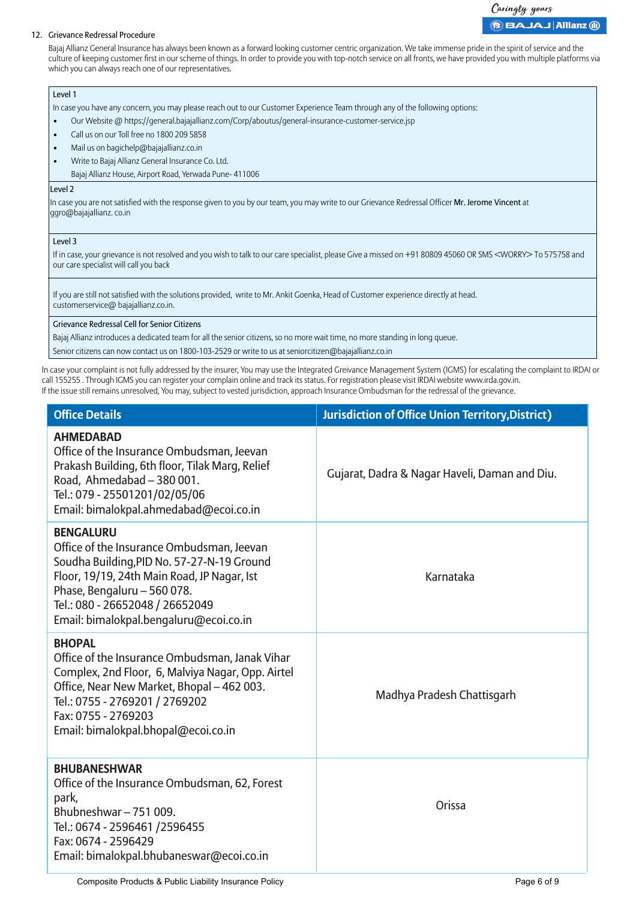# Caringly yours **BBAJAJ Allianz @**

#### 12. Grievance Redressal Procedure

Bajaj Allianz General Insurance has always been known as a forward looking customer centric organization. We take immense pride in the spirit of service and the culture of keeping customer first in our scheme of things. In order to provide you with top-notch service on all fronts, we have provided you with multiple platforms via which you can always reach one of our representatives.

### Level 1

In case you have any concern, you may please reach out to our Customer Experience Team through any of the following options:

- Our Website @ https://general.bajajallianz.com/Corp/aboutus/general-insurance-customer-service.jsp
- Call us on our Toll free no 1800 209 5858
- Mail us on bagichelp@bajajallianz.co.in
- Write to Bajaj Allianz General Insurance Co. Ltd.
	- Bajaj Allianz House, Airport Road, Yerwada Pune- 411006

#### Level 2

In case you are not satisfied with the response given to you by our team, you may write to our Grievance Redressal Officer Mr. Jerome Vincent at ggro@bajajallianz. co.in

#### Level 3

If in case, your grievance is not resolved and you wish to talk to our care specialist, please Give a missed on +91 80809 45060 OR SMS <WORRY> To 575758 and our care specialist will call you back

If you are still not satisfied with the solutions provided, write to Mr. Ankit Goenka, Head of Customer experience directly at head. customerservice@ bajajallianz.co.in.

#### Grievance Redressal Cell for Senior Citizens

Bajaj Allianz introduces a dedicated team for all the senior citizens, so no more wait time, no more standing in long queue.

Senior citizens can now contact us on 1800-103-2529 or write to us at seniorcitizen@bajajallianz.co.in

In case your complaint is not fully addressed by the insurer, You may use the Integrated Greivance Management System (IGMS) for escalating the complaint to IRDAI or call 155255 . Through IGMS you can register your complain online and track its status. For registration please visit IRDAI website www.irda.gov.in. If the issue still remains unresolved, You may, subject to vested jurisdiction, approach Insurance Ombudsman for the redressal of the grievance.

| <b>Office Details</b>                                                                                                                                                                                                                                                  | <b>Jurisdiction of Office Union Territory, District)</b> |
|------------------------------------------------------------------------------------------------------------------------------------------------------------------------------------------------------------------------------------------------------------------------|----------------------------------------------------------|
| <b>AHMEDABAD</b><br>Office of the Insurance Ombudsman, Jeevan<br>Prakash Building, 6th floor, Tilak Marg, Relief<br>Road, Ahmedabad - 380 001.<br>Tel.: 079 - 25501201/02/05/06<br>Email: bimalokpal.ahmedabad@ecoi.co.in                                              | Gujarat, Dadra & Nagar Haveli, Daman and Diu.            |
| <b>BENGALURU</b><br>Office of the Insurance Ombudsman, Jeevan<br>Soudha Building, PID No. 57-27-N-19 Ground<br>Floor, 19/19, 24th Main Road, JP Nagar, Ist<br>Phase, Bengaluru - 560 078.<br>Tel.: 080 - 26652048 / 26652049<br>Email: bimalokpal.bengaluru@ecoi.co.in | Karnataka                                                |
| <b>BHOPAL</b><br>Office of the Insurance Ombudsman, Janak Vihar<br>Complex, 2nd Floor, 6, Malviya Nagar, Opp. Airtel<br>Office, Near New Market, Bhopal - 462 003.<br>Tel.: 0755 - 2769201 / 2769202<br>Fax: 0755 - 2769203<br>Email: bimalokpal.bhopal@ecoi.co.in     | Madhya Pradesh Chattisgarh                               |
| <b>BHUBANESHWAR</b><br>Office of the Insurance Ombudsman, 62, Forest<br>park,<br>Bhubneshwar-751009.<br>Tel.: 0674 - 2596461 / 2596455<br>Fax: 0674 - 2596429<br>Email: bimalokpal.bhubaneswar@ecoi.co.in                                                              | Orissa                                                   |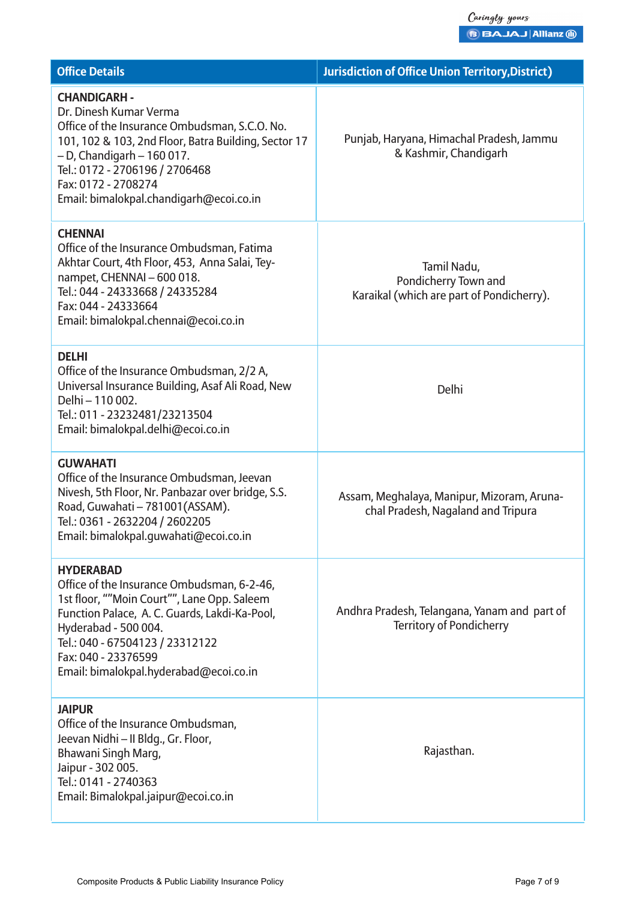| <b>Office Details</b>                                                                                                                                                                                                                                                                        | <b>Jurisdiction of Office Union Territory, District)</b>                         |
|----------------------------------------------------------------------------------------------------------------------------------------------------------------------------------------------------------------------------------------------------------------------------------------------|----------------------------------------------------------------------------------|
| <b>CHANDIGARH -</b><br>Dr. Dinesh Kumar Verma<br>Office of the Insurance Ombudsman, S.C.O. No.<br>101, 102 & 103, 2nd Floor, Batra Building, Sector 17<br>$-$ D, Chandigarh $-$ 160 017.<br>Tel.: 0172 - 2706196 / 2706468<br>Fax: 0172 - 2708274<br>Email: bimalokpal.chandigarh@ecoi.co.in | Punjab, Haryana, Himachal Pradesh, Jammu<br>& Kashmir, Chandigarh                |
| <b>CHENNAI</b><br>Office of the Insurance Ombudsman, Fatima<br>Akhtar Court, 4th Floor, 453, Anna Salai, Tey-<br>nampet, CHENNAI - 600 018.<br>Tel.: 044 - 24333668 / 24335284<br>Fax: 044 - 24333664<br>Email: bimalokpal.chennai@ecoi.co.in                                                | Tamil Nadu,<br>Pondicherry Town and<br>Karaikal (which are part of Pondicherry). |
| <b>DELHI</b><br>Office of the Insurance Ombudsman, 2/2 A,<br>Universal Insurance Building, Asaf Ali Road, New<br>Delhi - 110 002.<br>Tel.: 011 - 23232481/23213504<br>Email: bimalokpal.delhi@ecoi.co.in                                                                                     | Delhi                                                                            |
| <b>GUWAHATI</b><br>Office of the Insurance Ombudsman, Jeevan<br>Nivesh, 5th Floor, Nr. Panbazar over bridge, S.S.<br>Road, Guwahati - 781001(ASSAM).<br>Tel.: 0361 - 2632204 / 2602205<br>Email: bimalokpal.guwahati@ecoi.co.in                                                              | Assam, Meghalaya, Manipur, Mizoram, Aruna-<br>chal Pradesh, Nagaland and Tripura |
| <b>HYDERABAD</b><br>Office of the Insurance Ombudsman, 6-2-46,<br>1st floor, ""Moin Court"", Lane Opp. Saleem<br>Function Palace, A. C. Guards, Lakdi-Ka-Pool,<br>Hyderabad - 500 004.<br>Tel.: 040 - 67504123 / 23312122<br>Fax: 040 - 23376599<br>Email: bimalokpal.hyderabad@ecoi.co.in   | Andhra Pradesh, Telangana, Yanam and part of<br><b>Territory of Pondicherry</b>  |
| <b>JAIPUR</b><br>Office of the Insurance Ombudsman,<br>Jeevan Nidhi - II Bldg., Gr. Floor,<br>Bhawani Singh Marg,<br>Jaipur - 302 005.<br>Tel.: 0141 - 2740363<br>Email: Bimalokpal.jaipur@ecoi.co.in                                                                                        | Rajasthan.                                                                       |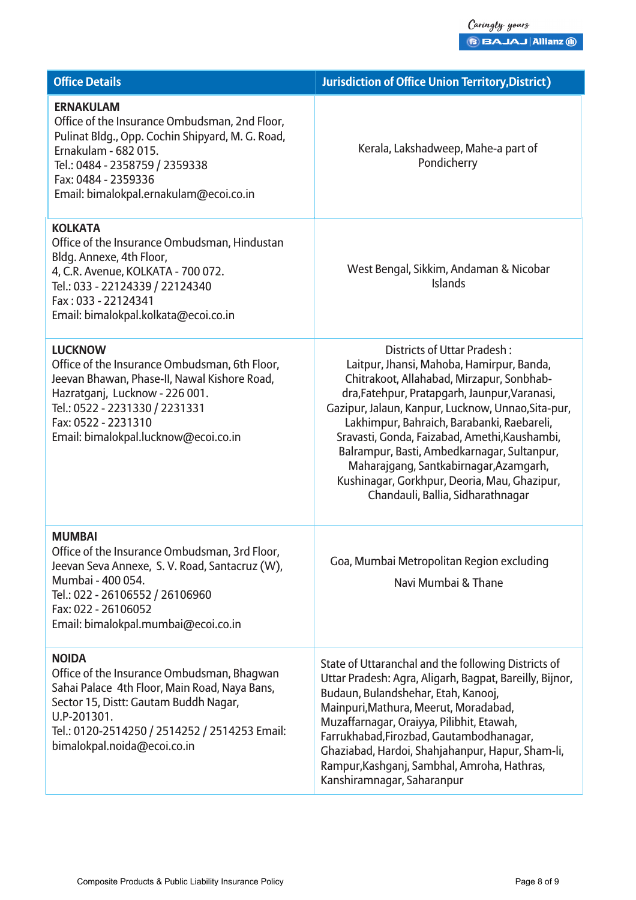| <b>Office Details</b>                                                                                                                                                                                                                               | <b>Jurisdiction of Office Union Territory, District)</b>                                                                                                                                                                                                                                                                                                                                                                                                                                                  |
|-----------------------------------------------------------------------------------------------------------------------------------------------------------------------------------------------------------------------------------------------------|-----------------------------------------------------------------------------------------------------------------------------------------------------------------------------------------------------------------------------------------------------------------------------------------------------------------------------------------------------------------------------------------------------------------------------------------------------------------------------------------------------------|
| <b>ERNAKULAM</b><br>Office of the Insurance Ombudsman, 2nd Floor,<br>Pulinat Bldg., Opp. Cochin Shipyard, M. G. Road,<br>Ernakulam - 682 015.<br>Tel.: 0484 - 2358759 / 2359338<br>Fax: 0484 - 2359336<br>Email: bimalokpal.ernakulam@ecoi.co.in    | Kerala, Lakshadweep, Mahe-a part of<br>Pondicherry                                                                                                                                                                                                                                                                                                                                                                                                                                                        |
| <b>KOLKATA</b><br>Office of the Insurance Ombudsman, Hindustan<br>Bldg. Annexe, 4th Floor,<br>4, C.R. Avenue, KOLKATA - 700 072.<br>Tel.: 033 - 22124339 / 22124340<br>Fax: 033 - 22124341<br>Email: bimalokpal.kolkata@ecoi.co.in                  | West Bengal, Sikkim, Andaman & Nicobar<br><b>Islands</b>                                                                                                                                                                                                                                                                                                                                                                                                                                                  |
| <b>LUCKNOW</b><br>Office of the Insurance Ombudsman, 6th Floor,<br>Jeevan Bhawan, Phase-II, Nawal Kishore Road,<br>Hazratganj, Lucknow - 226 001.<br>Tel.: 0522 - 2231330 / 2231331<br>Fax: 0522 - 2231310<br>Email: bimalokpal.lucknow@ecoi.co.in  | Districts of Uttar Pradesh:<br>Laitpur, Jhansi, Mahoba, Hamirpur, Banda,<br>Chitrakoot, Allahabad, Mirzapur, Sonbhab-<br>dra, Fatehpur, Pratapgarh, Jaunpur, Varanasi,<br>Gazipur, Jalaun, Kanpur, Lucknow, Unnao, Sita-pur,<br>Lakhimpur, Bahraich, Barabanki, Raebareli,<br>Sravasti, Gonda, Faizabad, Amethi, Kaushambi,<br>Balrampur, Basti, Ambedkarnagar, Sultanpur,<br>Maharajgang, Santkabirnagar, Azamgarh,<br>Kushinagar, Gorkhpur, Deoria, Mau, Ghazipur,<br>Chandauli, Ballia, Sidharathnagar |
| <b>MUMBAI</b><br>Office of the Insurance Ombudsman, 3rd Floor,<br>Jeevan Seva Annexe, S. V. Road, Santacruz (W),<br>Mumbai - 400 054.<br>Tel.: 022 - 26106552 / 26106960<br>Fax: 022 - 26106052<br>Email: bimalokpal.mumbai@ecoi.co.in              | Goa, Mumbai Metropolitan Region excluding<br>Navi Mumbai & Thane                                                                                                                                                                                                                                                                                                                                                                                                                                          |
| <b>NOIDA</b><br>Office of the Insurance Ombudsman, Bhagwan<br>Sahai Palace 4th Floor, Main Road, Naya Bans,<br>Sector 15, Distt: Gautam Buddh Nagar,<br>U.P-201301.<br>Tel.: 0120-2514250 / 2514252 / 2514253 Email:<br>bimalokpal.noida@ecoi.co.in | State of Uttaranchal and the following Districts of<br>Uttar Pradesh: Agra, Aligarh, Bagpat, Bareilly, Bijnor,<br>Budaun, Bulandshehar, Etah, Kanooj,<br>Mainpuri, Mathura, Meerut, Moradabad,<br>Muzaffarnagar, Oraiyya, Pilibhit, Etawah,<br>Farrukhabad, Firozbad, Gautambodhanagar,<br>Ghaziabad, Hardoi, Shahjahanpur, Hapur, Sham-li,<br>Rampur, Kashganj, Sambhal, Amroha, Hathras,<br>Kanshiramnagar, Saharanpur                                                                                  |